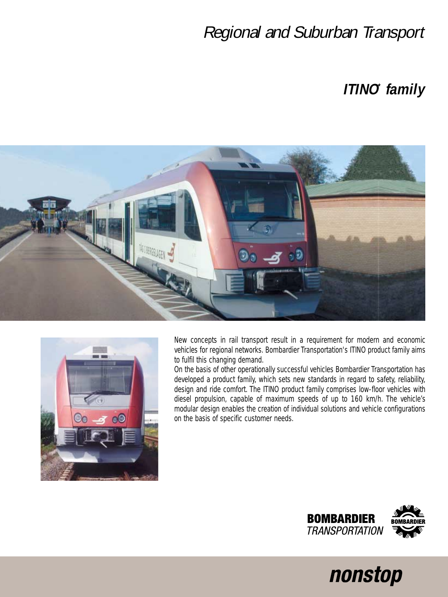## Regional and Suburban Transport

## **ITINO\* family**





New concepts in rail transport result in a requirement for modern and economic vehicles for regional networks. Bombardier Transportation's ITINO product family aims to fulfil this changing demand.

On the basis of other operationally successful vehicles Bombardier Transportation has developed a product family, which sets new standards in regard to safety, reliability, design and ride comfort. The ITINO product family comprises low-floor vehicles with diesel propulsion, capable of maximum speeds of up to 160 km/h. The vehicle's modular design enables the creation of individual solutions and vehicle configurations on the basis of specific customer needs.



nonstop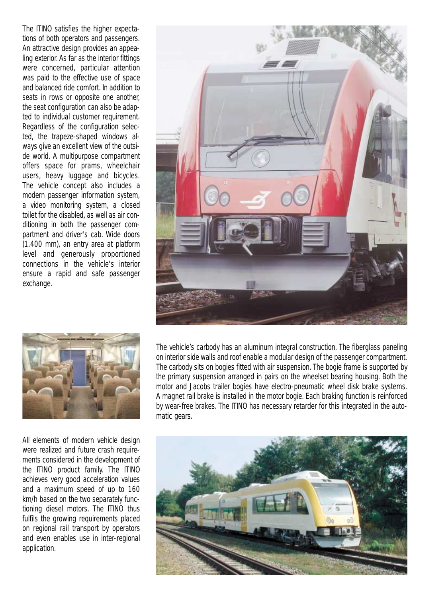The ITINO satisfies the higher expectations of both operators and passengers. An attractive design provides an appealing exterior. As far as the interior fittings were concerned, particular attention was paid to the effective use of space and balanced ride comfort. In addition to seats in rows or opposite one another, the seat configuration can also be adapted to individual customer requirement. Regardless of the configuration selected, the trapeze-shaped windows always give an excellent view of the outside world. A multipurpose compartment offers space for prams, wheelchair users, heavy luggage and bicycles. The vehicle concept also includes a modern passenger information system, a video monitoring system, a closed toilet for the disabled, as well as air conditioning in both the passenger compartment and driver's cab. Wide doors (1.400 mm), an entry area at platform level and generously proportioned connections in the vehicle's interior ensure a rapid and safe passenger exchange.





All elements of modern vehicle design were realized and future crash requirements considered in the development of the ITINO product family. The ITINO achieves very good acceleration values and a maximum speed of up to 160 km/h based on the two separately functioning diesel motors. The ITINO thus fulfils the growing requirements placed on regional rail transport by operators and even enables use in inter-regional application.

The vehicle's carbody has an aluminum integral construction. The fiberglass paneling on interior side walls and roof enable a modular design of the passenger compartment. The carbody sits on bogies fitted with air suspension. The bogie frame is supported by the primary suspension arranged in pairs on the wheelset bearing housing. Both the motor and Jacobs trailer bogies have electro-pneumatic wheel disk brake systems. A magnet rail brake is installed in the motor bogie. Each braking function is reinforced by wear-free brakes. The ITINO has necessary retarder for this integrated in the automatic gears.

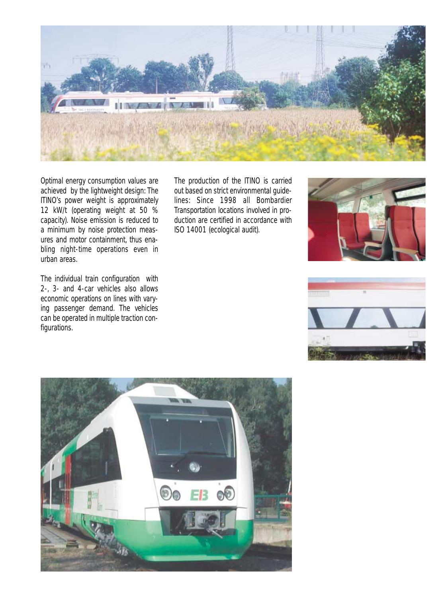

Optimal energy consumption values are achieved by the lightweight design: The ITINO's power weight is approximately 12 kW/t (operating weight at 50 % capacity). Noise emission is reduced to a minimum by noise protection measures and motor containment, thus enabling night-time operations even in urban areas.

The individual train configuration with 2-, 3- and 4-car vehicles also allows economic operations on lines with varying passenger demand. The vehicles can be operated in multiple traction configurations.

The production of the ITINO is carried out based on strict environmental guidelines: Since 1998 all Bombardier Transportation locations involved in production are certified in accordance with ISO 14001 (ecological audit).